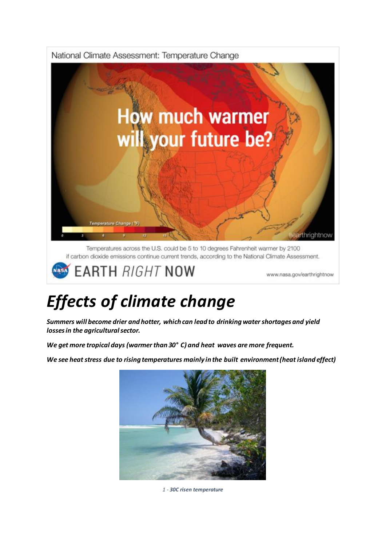

**EARTH RIGHT NOW** 

www.nasa.gov/earthrightnow

## *Effects of climate change*

*Summers will become drier and hotter, which can lead to drinking water shortages and yield losses in the agricultural sector.* 

*We get more tropical days (warmer than 30° C) and heat waves are more frequent.* 

*We see heat stress due to rising temperatures mainly in the built environment (heat island effect)*



*1 - 30C risen temperature*